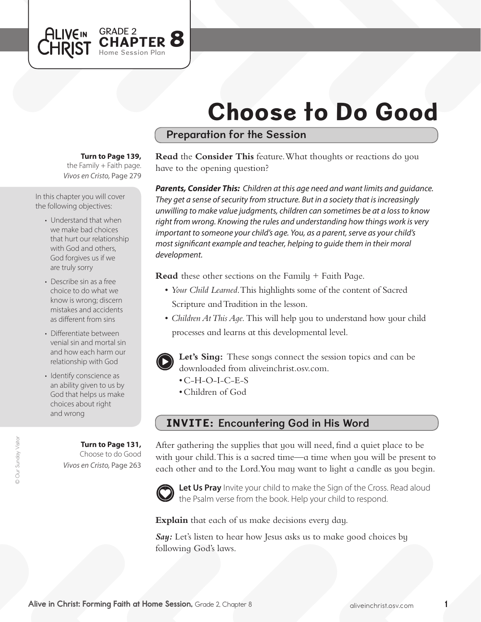# Choose to Do Good

## Preparation for the Session

#### **Turn to Page 139,**

GRADE 2

Home Session Plan

PTER 8

the Family  $+$  Faith page. *Vivos en Cristo,* Page 279

In this chapter you will cover the following objectives:

**ALIVEIN** 

**CHRIST** 

- Understand that when we make bad choices that hurt our relationship with God and others, God forgives us if we are truly sorry
- Describe sin as a free choice to do what we know is wrong; discern mistakes and accidents as different from sins
- Differentiate between venial sin and mortal sin and how each harm our relationship with God
- Identify conscience as an ability given to us by God that helps us make choices about right and wrong

**Turn to Page 131,** Choose to do Good *Vivos en Cristo,* Page 263 **Read** the **Consider This** feature. What thoughts or reactions do you have to the opening question?

*Parents, Consider This: Children at this age need and want limits and guidance. They get a sense of security from structure. But in a society that is increasingly unwilling to make value judgments, children can sometimes be at a loss to know right from wrong. Knowing the rules and understanding how things work is very important to someone your child's age. You, as a parent, serve as your child's most significant example and teacher, helping to guide them in their moral development.* 

**Read** these other sections on the Family + Faith Page.

- *Your Child Learned*. This highlights some of the content of Sacred Scripture and Tradition in the lesson.
- *Children At This Aqe*. This will help you to understand how your child processes and learns at this developmental level.



**Let's Sing:** These songs connect the session topics and can be downloaded from aliveinchrist.osv.com.

- • C-H-O-I-C-E-S
- • Children of God

## INVITE: Encountering God in His Word

After gathering the supplies that you will need, find a quiet place to be with your child. This is a sacred time—a time when you will be present to each other and to the Lord. You may want to light a candle as you begin.



Let Us Pray Invite your child to make the Sign of the Cross. Read aloud the Psalm verse from the book. Help your child to respond.

**Explain** that each of us make decisions every day.

**Say:** Let's listen to hear how Jesus asks us to make good choices by following God's laws.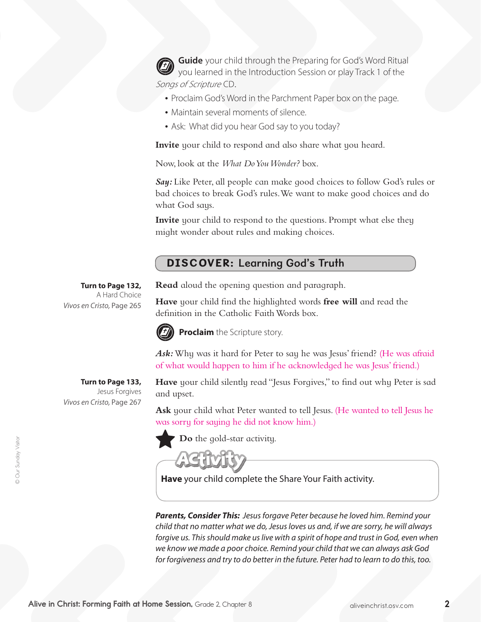**Guide** your child through the Preparing for God's Word Ritual you learned in the Introduction Session or play Track 1 of the Songs of Scripture CD.

- Proclaim God's Word in the Parchment Paper box on the page.
- Maintain several moments of silence.
- Ask: What did you hear God say to you today?

**Invite** your child to respond and also share what you heard.

Now, look at the *What Do You Wonder?* box.

*Say:* Like Peter, all people can make good choices to follow God's rules or bad choices to break God's rules.We want to make good choices and do what God saus.

**Invite** your child to respond to the questions. Prompt what else they might wonder about rules and making choices.

## DISCOVER: Learning God's Truth

**Turn to Page 132,** A Hard Choice *Vivos en Cristo,* Page 265

**Turn to Page 133,**  Jesus Forgives *Vivos en Cristo,* Page 267 **Read** aloud the opening question and paragraph.

**Have** your child find the highlighted words **free will** and read the definition in the Catholic FaithWords box.



**Proclaim** the Scripture story.

Ask: Why was it hard for Peter to say he was Jesus' friend? (He was afraid of what would happen to him if he acknowledged he was Jesus' friend.)

**Have** your child silently read "Jesus Forgives," to find out why Peter is sad and upset.

Ask your child what Peter wanted to tell Jesus. (He wanted to tell Jesus he was sorry for saying he did not know him.)





**Have** your child complete the Share Your Faith activity.

*Parents, Consider This: Jesus forgave Peter because he loved him. Remind your child that no matter what we do, Jesus loves us and, if we are sorry, he will always forgive us. This should make us live with a spirit of hope and trust in God, even when we know we made a poor choice. Remind your child that we can always ask God for forgiveness and try to do better in the future. Peter had to learn to do this, too.*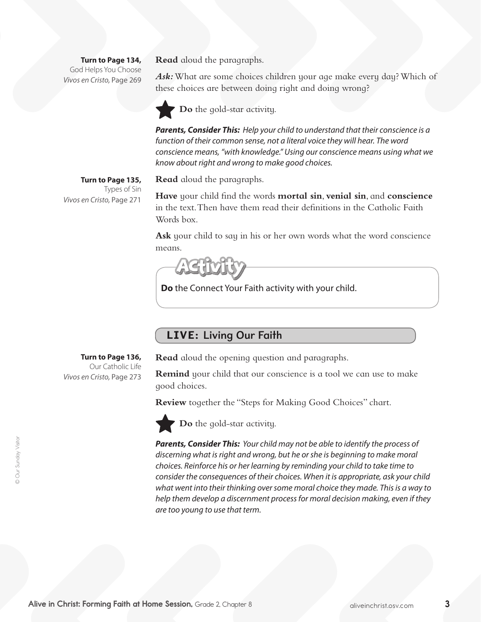#### **Turn to Page 134,** God Helps You Choose

*Vivos en Cristo,* Page 269

**Read** aloud the paragraphs.

Ask: What are some choices children your age make every day? Which of these choices are between doing right and doing wrong?



*Parents, Consider This: Help your child to understand that their conscience is a function of their common sense, not a literal voice they will hear. The word conscience means, "with knowledge." Using our conscience means using what we know about right and wrong to make good choices.*

**Turn to Page 135,**

Types of Sin *Vivos en Cristo,* Page 271

**Read** aloud the paragraphs.

**Have** your child find the words **mortal sin**, **venial sin**, and **conscience** in the text.Then have them read their definitions in the Catholic Faith Words box.

**Ask** your child to say in his or her own words what the word conscience means.



**Do** the Connect Your Faith activity with your child.

## LIVE: Living Our Faith

**Turn to Page 136,**  Our Catholic Life *Vivos en Cristo,* Page 273

**Read** aloud the opening question and paragraphs.

**Remind** your child that our conscience is a tool we can use to make good choices.

**Review** together the "Steps for Making Good Choices" chart.



**Do** the gold-star activity.

*Parents, Consider This: Your child may not be able to identify the process of discerning what is right and wrong, but he or she is beginning to make moral choices. Reinforce his or her learning by reminding your child to take time to consider the consequences of their choices. When it is appropriate, ask your child what went into their thinking over some moral choice they made. This is a way to help them develop a discernment process for moral decision making, even if they are too young to use that term.*